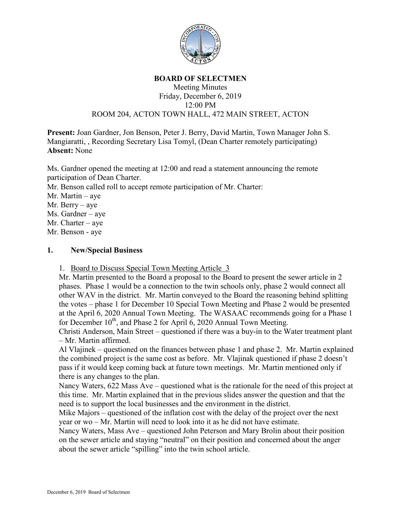

## **BOARD OF SELECTMEN**

## Meeting Minutes Friday, December 6, 2019 12:00 PM ROOM 204, ACTON TOWN HALL, 472 MAIN STREET, ACTON

**Present:** Joan Gardner, Jon Benson, Peter J. Berry, David Martin, Town Manager John S. Mangiaratti, , Recording Secretary Lisa Tomyl, (Dean Charter remotely participating) **Absent:** None

Ms. Gardner opened the meeting at 12:00 and read a statement announcing the remote participation of Dean Charter.

Mr. Benson called roll to accept remote participation of Mr. Charter:

Mr. Martin – aye

Mr. Berry – aye

Ms. Gardner – aye

Mr. Charter – aye

Mr. Benson - aye

## **1. New/Special Business**

1. Board to Discuss Special Town Meeting Article 3

Mr. Martin presented to the Board a proposal to the Board to present the sewer article in 2 phases. Phase 1 would be a connection to the twin schools only, phase 2 would connect all other WAV in the district. Mr. Martin conveyed to the Board the reasoning behind splitting the votes – phase 1 for December 10 Special Town Meeting and Phase 2 would be presented at the April 6, 2020 Annual Town Meeting. The WASAAC recommends going for a Phase 1 for December  $10^{th}$ , and Phase 2 for April 6, 2020 Annual Town Meeting.

Christi Anderson, Main Street – questioned if there was a buy-in to the Water treatment plant – Mr. Martin affirmed.

Al Vlajinek – questioned on the finances between phase 1 and phase 2. Mr. Martin explained the combined project is the same cost as before. Mr. Vlajinak questioned if phase 2 doesn't pass if it would keep coming back at future town meetings. Mr. Martin mentioned only if there is any changes to the plan.

Nancy Waters, 622 Mass Ave – questioned what is the rationale for the need of this project at this time. Mr. Martin explained that in the previous slides answer the question and that the need is to support the local businesses and the environment in the district.

Mike Majors – questioned of the inflation cost with the delay of the project over the next year or wo – Mr. Martin will need to look into it as he did not have estimate.

Nancy Waters, Mass Ave – questioned John Peterson and Mary Brolin about their position on the sewer article and staying "neutral" on their position and concerned about the anger about the sewer article "spilling" into the twin school article.